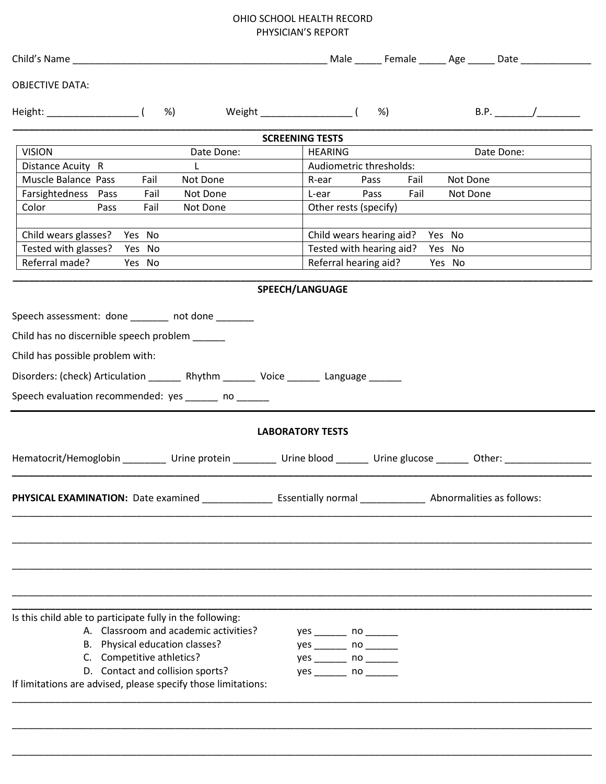## OHIO SCHOOL HEALTH RECORD PHYSICIAN'S REPORT

| <b>OBJECTIVE DATA:</b>                                                                                                          |                                                                                                                      |  |  |  |  |  |  |  |
|---------------------------------------------------------------------------------------------------------------------------------|----------------------------------------------------------------------------------------------------------------------|--|--|--|--|--|--|--|
|                                                                                                                                 | %)                                                                                                                   |  |  |  |  |  |  |  |
| <b>SCREENING TESTS</b>                                                                                                          |                                                                                                                      |  |  |  |  |  |  |  |
| <b>VISION</b><br>Date Done:                                                                                                     | <b>HEARING</b><br>Date Done:                                                                                         |  |  |  |  |  |  |  |
| Distance Acuity R<br>$\mathsf{L}$                                                                                               | Audiometric thresholds:                                                                                              |  |  |  |  |  |  |  |
| Muscle Balance Pass<br>Fail<br>Not Done                                                                                         | Pass<br>R-ear<br>Fail<br>Not Done                                                                                    |  |  |  |  |  |  |  |
| Fail<br>Farsightedness Pass<br>Not Done                                                                                         | Fail<br>L-ear<br>Pass<br>Not Done                                                                                    |  |  |  |  |  |  |  |
| Color<br>Pass<br>Fail<br>Not Done                                                                                               | Other rests (specify)                                                                                                |  |  |  |  |  |  |  |
| Child wears glasses? Yes No                                                                                                     | Child wears hearing aid? Yes No                                                                                      |  |  |  |  |  |  |  |
| Tested with glasses? Yes No                                                                                                     | Tested with hearing aid? Yes No                                                                                      |  |  |  |  |  |  |  |
| Referral made?<br>Yes No                                                                                                        | Referral hearing aid?<br>Yes No                                                                                      |  |  |  |  |  |  |  |
|                                                                                                                                 | <b>SPEECH/LANGUAGE</b>                                                                                               |  |  |  |  |  |  |  |
| Speech assessment: done _______ not done _______                                                                                |                                                                                                                      |  |  |  |  |  |  |  |
| Child has no discernible speech problem ______                                                                                  |                                                                                                                      |  |  |  |  |  |  |  |
| Child has possible problem with:                                                                                                |                                                                                                                      |  |  |  |  |  |  |  |
|                                                                                                                                 |                                                                                                                      |  |  |  |  |  |  |  |
| Disorders: (check) Articulation ________ Rhythm _______ Voice _______ Language ______                                           |                                                                                                                      |  |  |  |  |  |  |  |
| Speech evaluation recommended: yes ______ no ______                                                                             |                                                                                                                      |  |  |  |  |  |  |  |
|                                                                                                                                 | <b>LABORATORY TESTS</b>                                                                                              |  |  |  |  |  |  |  |
|                                                                                                                                 | Hematocrit/Hemoglobin __________ Urine protein _________ Urine blood _______ Urine glucose ______ Other: ___________ |  |  |  |  |  |  |  |
| <b>PHYSICAL EXAMINATION:</b> Date examined <b>Example 2008</b> Essentially normal <b>Example 2008</b> Abnormalities as follows: |                                                                                                                      |  |  |  |  |  |  |  |
|                                                                                                                                 |                                                                                                                      |  |  |  |  |  |  |  |
|                                                                                                                                 |                                                                                                                      |  |  |  |  |  |  |  |
| Is this child able to participate fully in the following:                                                                       |                                                                                                                      |  |  |  |  |  |  |  |
| A. Classroom and academic activities?                                                                                           | yes __________ no _______                                                                                            |  |  |  |  |  |  |  |
| B. Physical education classes?                                                                                                  | yes _________ no _______                                                                                             |  |  |  |  |  |  |  |
| C. Competitive athletics?                                                                                                       | $yes \_$ no $\_$                                                                                                     |  |  |  |  |  |  |  |
| D. Contact and collision sports?<br>If limitations are advised, please specify those limitations:                               | $yes \_ no \_ no \_$                                                                                                 |  |  |  |  |  |  |  |
|                                                                                                                                 |                                                                                                                      |  |  |  |  |  |  |  |
|                                                                                                                                 |                                                                                                                      |  |  |  |  |  |  |  |

\_\_\_\_\_\_\_\_\_\_\_\_\_\_\_\_\_\_\_\_\_\_\_\_\_\_\_\_\_\_\_\_\_\_\_\_\_\_\_\_\_\_\_\_\_\_\_\_\_\_\_\_\_\_\_\_\_\_\_\_\_\_\_\_\_\_\_\_\_\_\_\_\_\_\_\_\_\_\_\_\_\_\_\_\_\_\_\_\_\_\_\_\_\_\_\_\_\_\_\_\_\_\_\_\_\_\_